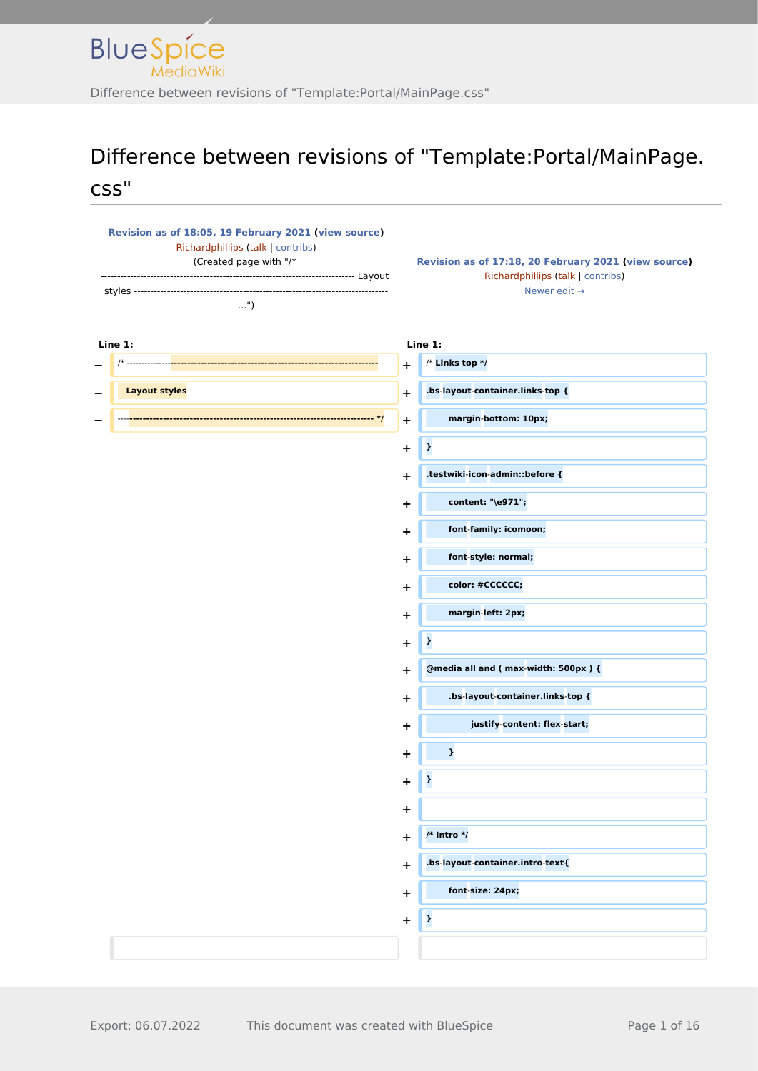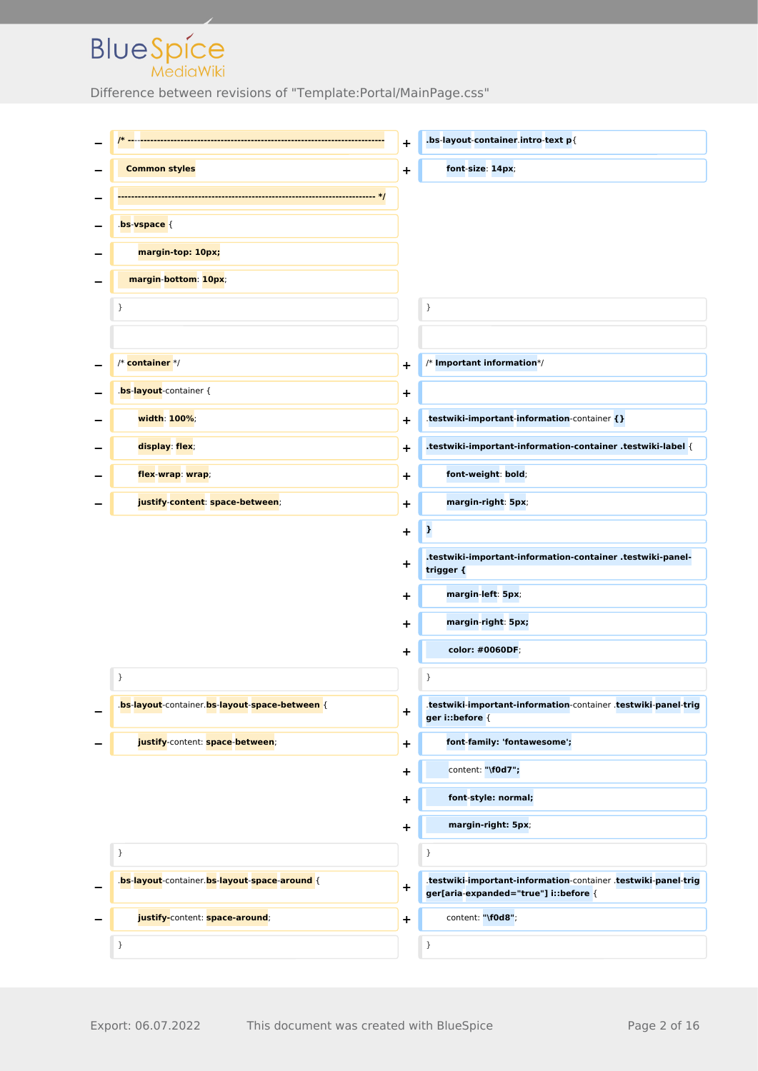|                                                | $\ddot{}$   | .bs-layout-container.intro-text p{                                                                      |
|------------------------------------------------|-------------|---------------------------------------------------------------------------------------------------------|
| <b>Common styles</b>                           | $\ddot{}$   | font-size: 14px;                                                                                        |
|                                                |             |                                                                                                         |
| bs-vspace {                                    |             |                                                                                                         |
| margin-top: 10px;                              |             |                                                                                                         |
| margin-bottom: 10px;                           |             |                                                                                                         |
| }                                              |             | }                                                                                                       |
|                                                |             |                                                                                                         |
| /* container */                                | $\ddot{}$   | $/*$ Important information*/                                                                            |
| bs-layout-container {                          | $\mathbf +$ |                                                                                                         |
| width: 100%;                                   | $\ddot{}$   | .testwiki-important-information-container {}                                                            |
| display: flex;                                 | ٠           | .testwiki-important-information-container .testwiki-label {                                             |
| flex-wrap: wrap;                               | ٠           | font-weight: bold;                                                                                      |
| justify-content: space-between;                | $\ddot{}$   | margin-right: 5px;                                                                                      |
|                                                | +           | þ,                                                                                                      |
|                                                | +           | .testwiki-important-information-container .testwiki-panel-<br>trigger {                                 |
|                                                | +           | margin-left: 5px;                                                                                       |
|                                                | ٠           | margin-right: 5px;                                                                                      |
|                                                | ٠           | color: #0060DF;                                                                                         |
| }                                              |             | }                                                                                                       |
| .bs-layout-container.bs-layout-space-between { | $\mathbf +$ | .testwiki-important-information-container .testwiki-panel-trig<br>ger i:: before {                      |
| justify-content: space-between;                | $\mathbf +$ | font-family: 'fontawesome';                                                                             |
|                                                | +           | content: "\f0d7";                                                                                       |
|                                                | +           | font-style: normal;                                                                                     |
|                                                | $\ddot{}$   | margin-right: 5px;                                                                                      |
| }                                              |             | $\}$                                                                                                    |
| .bs-layout-container.bs-layout-space-around {  | $\mathbf +$ | .testwiki-important-information-container .testwiki-panel-trig<br>ger[aria-expanded="true"] i::before { |
| justify-content: space-around;                 | $\ddot{}$   | content: "\f0d8";                                                                                       |
| }                                              |             | $\}$                                                                                                    |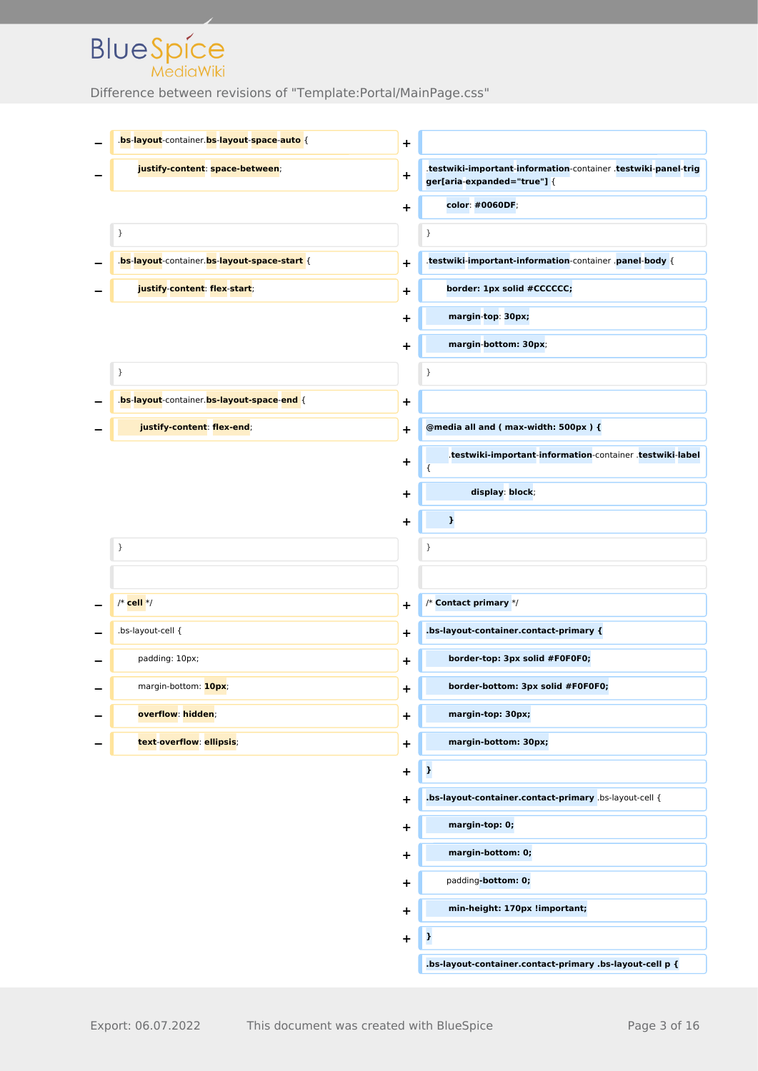| bs-layout-container.bs-layout-space-auto {   | $\ddagger$ |                                                                                               |
|----------------------------------------------|------------|-----------------------------------------------------------------------------------------------|
| justify-content: space-between;              | $\ddot{}$  | .testwiki-important-information-container .testwiki-panel-trig<br>ger[aria-expanded="true"] { |
|                                              | ٠          | color: #0060DF;                                                                               |
| }                                            |            | $\}$                                                                                          |
| .bs-layout-container.bs-layout-space-start { | ٠          | .testwiki-important-information-container .panel-body {                                       |
| justify-content: flex-start;                 | +          | border: 1px solid #CCCCCC;                                                                    |
|                                              | +          | margin-top: 30px;                                                                             |
|                                              | $\ddot{}$  | margin-bottom: 30px;                                                                          |
| }                                            |            | }                                                                                             |
| .bs-layout-container.bs-layout-space-end {   | +          |                                                                                               |
| justify-content: flex-end;                   | $\ddag$    | @media all and (max-width: 500px) {                                                           |
|                                              | +          | .testwiki-important-information-container .testwiki-label<br>₹                                |
|                                              | +          | display: block;                                                                               |
|                                              | +          | $\mathbf{I}$                                                                                  |
| }                                            |            | }                                                                                             |
|                                              |            |                                                                                               |
| $/*$ cell $*/$                               | +          | /* Contact primary */                                                                         |
| .bs-layout-cell {                            | +          | .bs-layout-container.contact-primary {                                                        |
| padding: 10px;                               | +          | border-top: 3px solid #F0F0F0;                                                                |
| margin-bottom: 10px;                         | +          | border-bottom: 3px solid #F0F0F0;                                                             |
| overflow: hidden;                            | $\ddagger$ | margin-top: 30px;                                                                             |
| text-overflow: ellipsis;                     | +          | margin-bottom: 30px;                                                                          |
|                                              | +          | $\mathbf{r}$                                                                                  |
|                                              | +          | .bs-layout-container.contact-primary .bs-layout-cell {                                        |
|                                              | +          | margin-top: 0;                                                                                |
|                                              | +          | margin-bottom: 0;                                                                             |
|                                              | +          | padding-bottom: 0;                                                                            |
|                                              | +          | min-height: 170px !important;                                                                 |
|                                              | +          | þ                                                                                             |
|                                              |            | .bs-layout-container.contact-primary .bs-layout-cell p {                                      |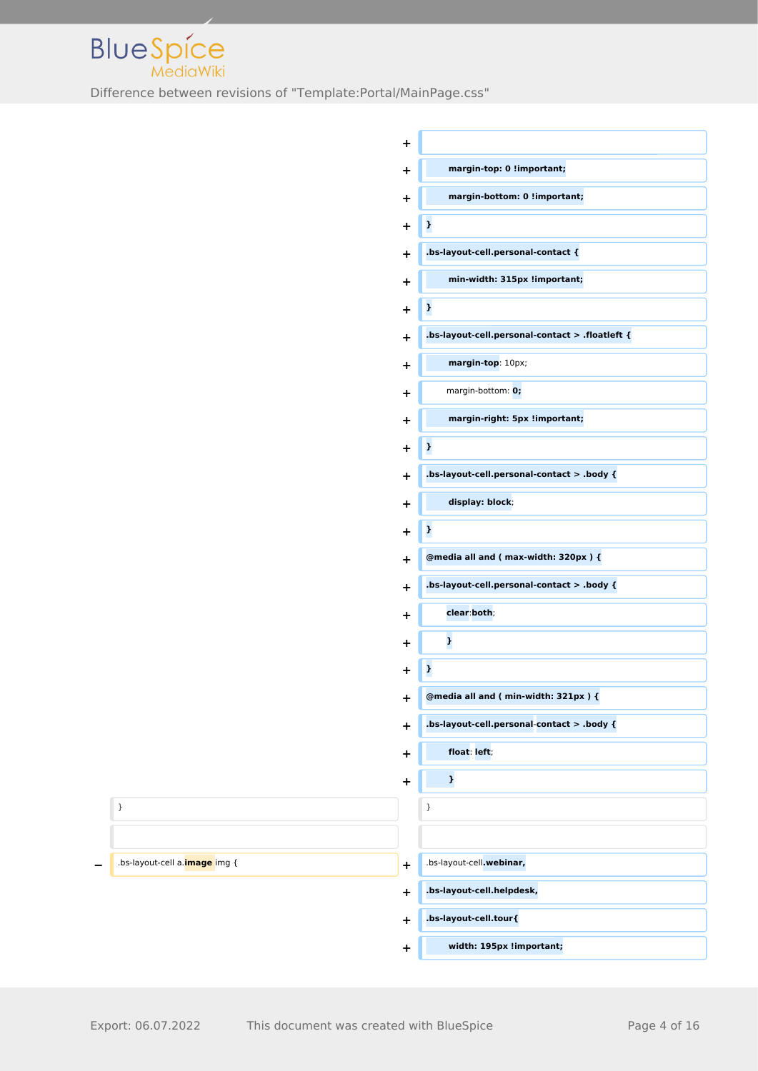

|                                       | $\ddot{}$   |                                                 |
|---------------------------------------|-------------|-------------------------------------------------|
|                                       | $\ddot{}$   | margin-top: 0 !important;                       |
|                                       | $\ddot{}$   | margin-bottom: 0 !important;                    |
|                                       | $\ddot{}$   | $\mathbf{r}$                                    |
|                                       | $\ddot{}$   | .bs-layout-cell.personal-contact {              |
|                                       | $\ddot{}$   | min-width: 315px !important;                    |
|                                       | $\ddot{}$   | $\mathbf{r}$                                    |
|                                       | $\ddot{}$   | .bs-layout-cell.personal-contact > .floatleft { |
|                                       | $\ddot{}$   | margin-top: 10px;                               |
|                                       | $\ddot{}$   | margin-bottom: 0;                               |
|                                       | $\ddot{}$   | margin-right: 5px !important;                   |
|                                       | $\ddot{}$   | $\mathbf{r}$                                    |
|                                       | $\ddot{}$   | .bs-layout-cell.personal-contact > .body {      |
|                                       | $\ddot{}$   | display: block;                                 |
|                                       | $\ddot{}$   | $\mathbf{r}$                                    |
|                                       | $\ddot{}$   | @media all and (max-width: 320px) {             |
|                                       | $\ddot{}$   | .bs-layout-cell.personal-contact > .body {      |
|                                       | $\ddot{}$   | clear:both;                                     |
|                                       | $\ddot{}$   | $\pmb{\cdot}$                                   |
|                                       | $\ddot{}$   | $\pmb{\cdot}$                                   |
|                                       | $\mathbf +$ | @media all and (min-width: 321px) {             |
|                                       | $\ddot{}$   | .bs-layout-cell.personal-contact > .body {      |
|                                       | $\ddot{}$   | float: left;                                    |
|                                       | $\ddagger$  | $\pmb{\cdot}$                                   |
| $\}$                                  |             | $\}$                                            |
|                                       |             |                                                 |
| .bs-layout-cell a. <b>image</b> img { | $\ddot{}$   | .bs-layout-cell.webinar,                        |
|                                       | $\ddot{}$   | .bs-layout-cell.helpdesk,                       |
|                                       | $\ddot{}$   | .bs-layout-cell.tour{                           |
|                                       | $\ddot{}$   | width: 195px !important;                        |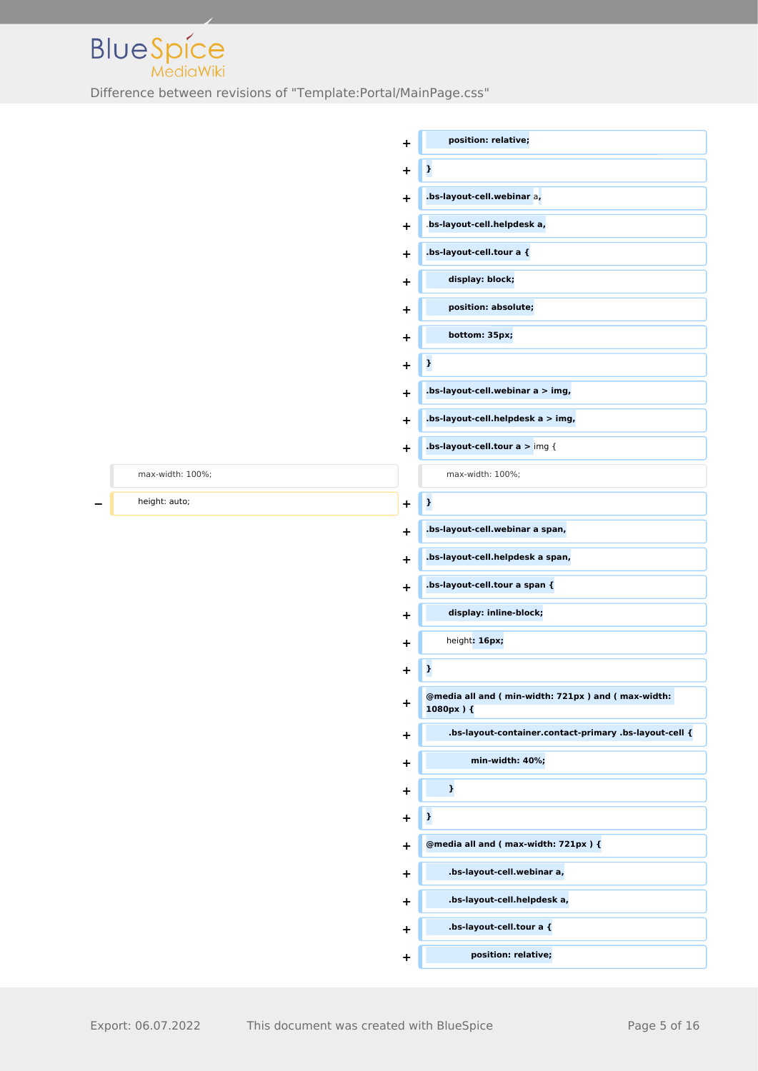

|                  | $\ddot{}$                        | position: relative;                                            |
|------------------|----------------------------------|----------------------------------------------------------------|
|                  | $\ddagger$                       | $\mathbf{r}$                                                   |
|                  | ÷                                | .bs-layout-cell.webinar a,                                     |
|                  | $\ddot{}$                        | .bs-layout-cell.helpdesk a,                                    |
|                  | ÷                                | .bs-layout-cell.tour a {                                       |
|                  | $\ddot{}$                        | display: block;                                                |
|                  | $\ddot{}$                        | position: absolute;                                            |
|                  | $\ddot{}$                        | bottom: 35px;                                                  |
|                  | $\ddagger$                       | $\mathbf{r}$                                                   |
|                  | $\ddot{}$                        | .bs-layout-cell.webinar a > img,                               |
|                  | $\ddot{}$                        | .bs-layout-cell.helpdesk a > img,                              |
|                  | $\ddot{}$                        | .bs-layout-cell.tour $a >$ img {                               |
| max-width: 100%; |                                  | max-width: 100%;                                               |
| height: auto;    | $\ddot{}$                        | $\mathbf{r}$                                                   |
|                  | $\ddot{}$                        | .bs-layout-cell.webinar a span,                                |
|                  | $\ddot{}$                        | .bs-layout-cell.helpdesk a span,                               |
|                  | $\ddot{}$                        | .bs-layout-cell.tour a span {                                  |
|                  | $\ddot{}$                        | display: inline-block;                                         |
|                  | ÷                                | height: 16px;                                                  |
|                  | $\ddot{}$                        | $\pmb{\cdot}$                                                  |
|                  | $\ddagger$                       | @media all and (min-width: 721px) and (max-width:<br>1080px) { |
|                  | $\ddot{}$                        | .bs-layout-container.contact-primary .bs-layout-cell {         |
|                  | $\ddot{}$                        | min-width: 40%;                                                |
|                  | $\ddagger$                       | $\pmb{\cdot}$                                                  |
|                  | $\ddot{}$                        | $\mathbf{r}$                                                   |
|                  | $\ddot{}$                        | @media all and (max-width: 721px) {                            |
|                  | $\ddagger$                       | .bs-layout-cell.webinar a,                                     |
|                  | $\ddot{}$                        | .bs-layout-cell.helpdesk a,                                    |
|                  | $\ddot{}$                        | .bs-layout-cell.tour a {                                       |
|                  | $\begin{array}{c} + \end{array}$ | position: relative;                                            |
|                  |                                  |                                                                |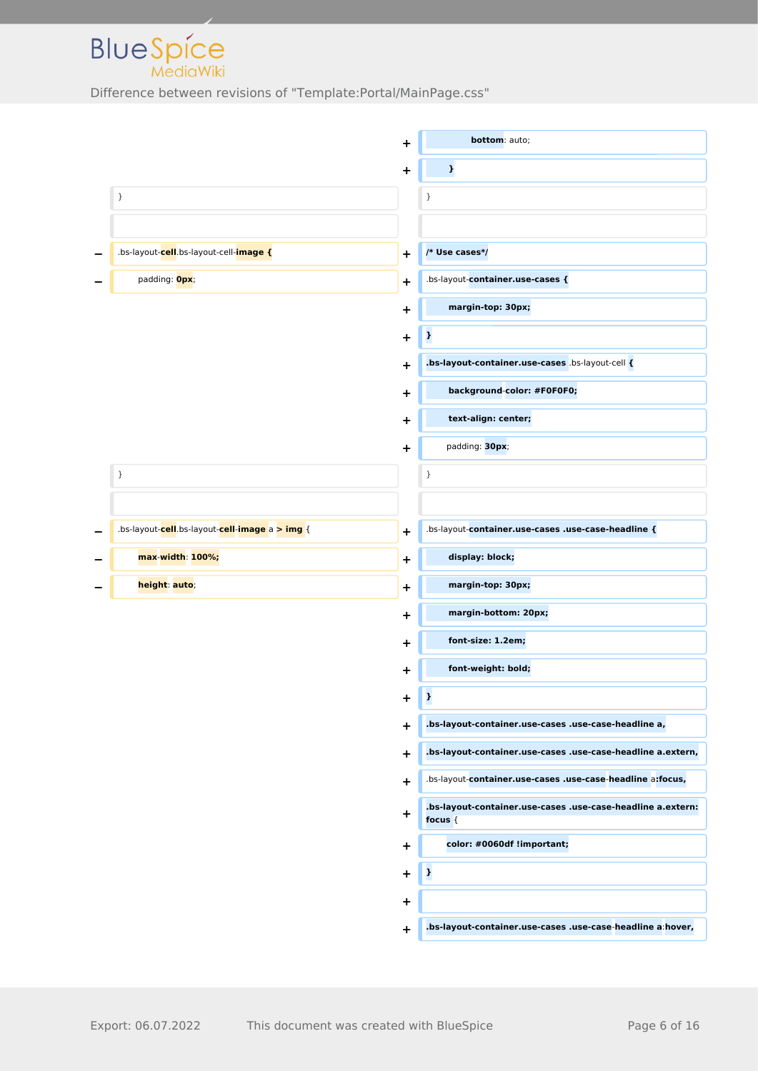

|                                                | +                            | bottom: auto;                                                             |
|------------------------------------------------|------------------------------|---------------------------------------------------------------------------|
|                                                | $\ddot{}$                    | $\pmb{\cdot}$                                                             |
| }                                              | }                            |                                                                           |
|                                                |                              |                                                                           |
| .bs-layout-cell.bs-layout-cell-image {         | $\ddot{}$                    | /* Use cases*/                                                            |
| padding: Opx;                                  | $\ddot{}$                    | .bs-layout-container.use-cases {                                          |
|                                                | +                            | margin-top: 30px;                                                         |
|                                                | þ<br>+                       |                                                                           |
|                                                | ٠                            | .bs-layout-container.use-cases .bs-layout-cell {                          |
|                                                | ٠                            | background-color: #F0F0F0;                                                |
|                                                | $\ddot{}$                    | text-align: center;                                                       |
|                                                | $\ddot{}$                    | padding: 30px;                                                            |
| }                                              | $\}$                         |                                                                           |
|                                                |                              |                                                                           |
| .bs-layout-cell.bs-layout-cell-image a > img { | $\ddot{}$                    | .bs-layout-container.use-cases .use-case-headline {                       |
| max-width: 100%;                               | $\ddagger$                   | display: block;                                                           |
| height: auto;                                  | $\ddot{}$                    | margin-top: 30px;                                                         |
|                                                | +                            | margin-bottom: 20px;                                                      |
|                                                | ٠                            | font-size: 1.2em;                                                         |
|                                                | $\ddot{}$                    | font-weight: bold;                                                        |
|                                                | $\pmb{\cdot}$<br>$\mathbf +$ |                                                                           |
|                                                | $\ddot{}$                    | .bs-layout-container.use-cases .use-case-headline a,                      |
|                                                | $\ddot{}$                    | .bs-layout-container.use-cases .use-case-headline a.extern,               |
|                                                | $\ddot{}$                    | .bs-layout-container.use-cases .use-case-headline a:focus,                |
|                                                | ÷                            | .bs-layout-container.use-cases .use-case-headline a.extern:<br>focus $\{$ |
|                                                | $\ddot{}$                    | color: #0060df !important;                                                |
|                                                | $\pmb{\cdot}$<br>$\ddot{}$   |                                                                           |
|                                                | $\ddot{}$                    |                                                                           |
|                                                | ÷.                           | .bs-layout-container.use-cases .use-case-headline a hover,                |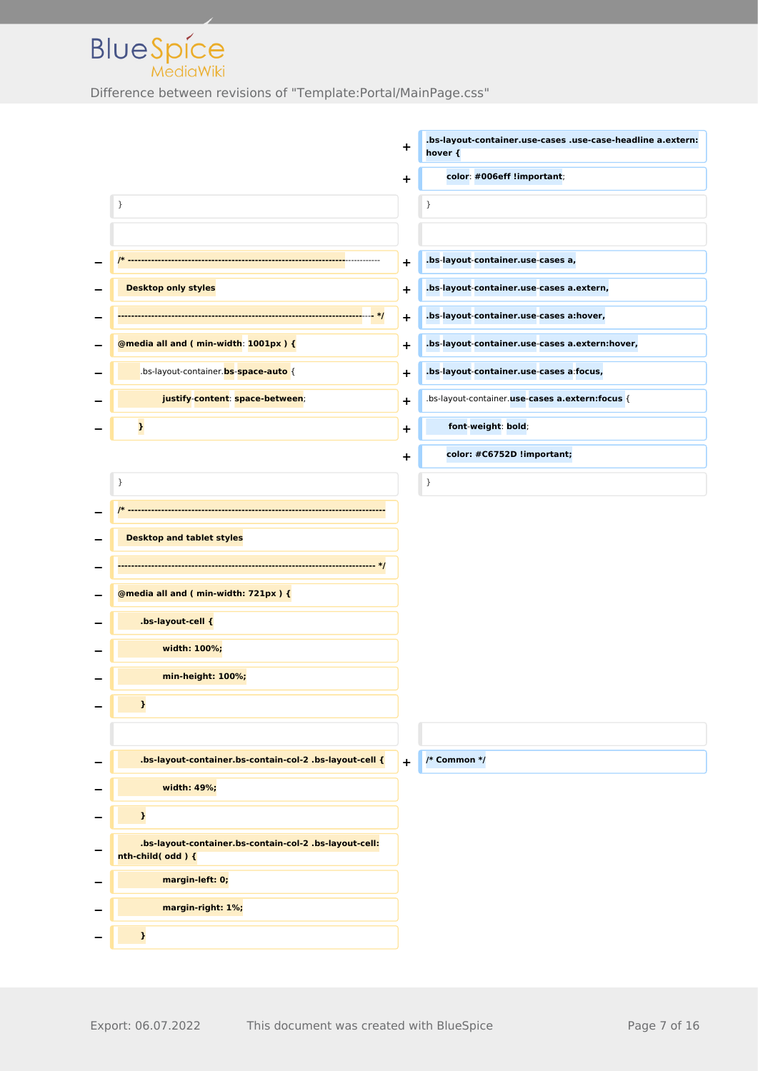**BlueSpice** 

|                                                                           | $\ddot{}$ | .bs-layout-container.use-cases .use-case-headline a.extern:<br>hover { |
|---------------------------------------------------------------------------|-----------|------------------------------------------------------------------------|
|                                                                           | $\ddot{}$ | color: #006eff !important;                                             |
| $\}$                                                                      |           | }                                                                      |
|                                                                           |           |                                                                        |
|                                                                           |           | .bs-layout-container.use-cases a,                                      |
| <b>Desktop only styles</b>                                                | ÷         | .bs-layout-container.use-cases a.extern,                               |
|                                                                           | $\ddot{}$ |                                                                        |
|                                                                           | $\ddot{}$ | .bs-layout-container.use-cases a:hover,                                |
| @media all and (min-width: 1001px) {                                      | ÷         | .bs-layout-container.use-cases a.extern:hover,                         |
| .bs-layout-container. <b>bs-space-auto</b> {                              | ÷         | .bs-layout-container.use-cases a focus,                                |
| justify-content: space-between;                                           | ÷         | .bs-layout-container.use-cases a.extern:focus {                        |
| $\mathbf{L}$                                                              | ٠         | font-weight: bold;                                                     |
|                                                                           | $\ddot{}$ | color: #C6752D !important;                                             |
| }                                                                         |           | }                                                                      |
|                                                                           |           |                                                                        |
| <b>Desktop and tablet styles</b>                                          |           |                                                                        |
|                                                                           |           |                                                                        |
| @media all and (min-width: 721px) {                                       |           |                                                                        |
| .bs-layout-cell {                                                         |           |                                                                        |
| width: 100%;                                                              |           |                                                                        |
| min-height: 100%;                                                         |           |                                                                        |
| $\pmb{\}}$                                                                |           |                                                                        |
|                                                                           |           |                                                                        |
| .bs-layout-container.bs-contain-col-2 .bs-layout-cell {                   | $+$       | /* Common */                                                           |
| width: 49%;                                                               |           |                                                                        |
| $\pmb{\}}$                                                                |           |                                                                        |
| .bs-layout-container.bs-contain-col-2 .bs-layout-cell:<br>nth-child(odd){ |           |                                                                        |
| margin-left: 0;                                                           |           |                                                                        |
| margin-right: 1%;                                                         |           |                                                                        |
| $\pmb{\cdot}$                                                             |           |                                                                        |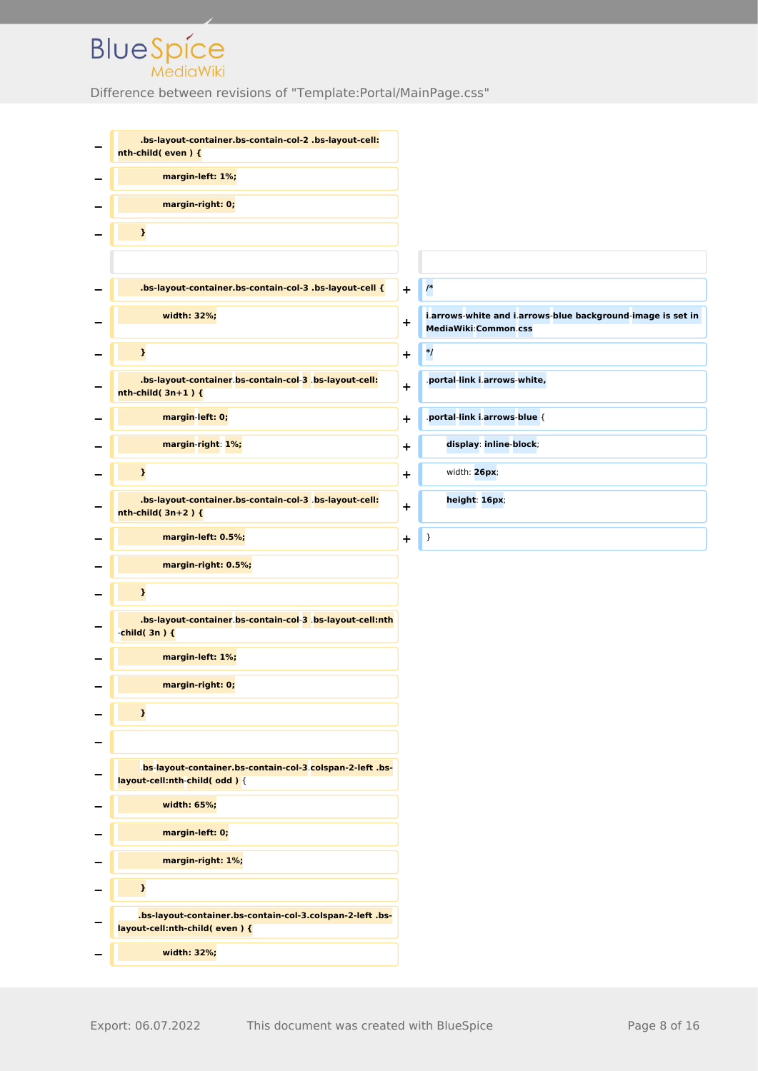| .bs-layout-container.bs-contain-col-2 .bs-layout-cell:<br>nth-child(even){                |            |                                                                                     |
|-------------------------------------------------------------------------------------------|------------|-------------------------------------------------------------------------------------|
| margin-left: 1%;                                                                          |            |                                                                                     |
| margin-right: 0;                                                                          |            |                                                                                     |
| $\pmb{\}}$                                                                                |            |                                                                                     |
|                                                                                           |            |                                                                                     |
| .bs-layout-container.bs-contain-col-3 .bs-layout-cell {                                   | $\ddot{}$  | $\prime^*$                                                                          |
| width: 32%;                                                                               | $\ddot{}$  | i.arrows-white and i.arrows-blue background-image is set in<br>MediaWiki:Common.css |
| $\mathbf{I}$                                                                              | +          | $^{\ast}$ /                                                                         |
| .bs-layout-container.bs-contain-col-3 .bs-layout-cell:<br>$nth$ -child( $3n+1$ ){         | $\ddot{}$  | .portal-link i.arrows-white,                                                        |
| margin-left: 0;                                                                           | +          | .portal-link i.arrows-blue {                                                        |
| margin-right: 1%;                                                                         | $\ddot{}$  | display: inline-block;                                                              |
| $\pmb{\cdot}$                                                                             | +          | width: 26px;                                                                        |
| .bs-layout-container.bs-contain-col-3 .bs-layout-cell:<br>$nth$ -child( $3n+2$ ){         | $\ddot{}$  | height: 16px;                                                                       |
| margin-left: 0.5%;                                                                        | $\ddagger$ | }                                                                                   |
| margin-right: 0.5%;                                                                       |            |                                                                                     |
| $\pmb{\}}$                                                                                |            |                                                                                     |
| .bs-layout-container.bs-contain-col-3 .bs-layout-cell:nth<br>-child( $3n$ ) {             |            |                                                                                     |
| margin-left: 1%;                                                                          |            |                                                                                     |
| margin-right: 0;                                                                          |            |                                                                                     |
| $\mathbf{I}$                                                                              |            |                                                                                     |
|                                                                                           |            |                                                                                     |
| bs-layout-container.bs-contain-col-3.colspan-2-left.bs-<br>layout-cell:nth-child(odd) {   |            |                                                                                     |
| width: 65%;                                                                               |            |                                                                                     |
| margin-left: 0;                                                                           |            |                                                                                     |
| margin-right: 1%;                                                                         |            |                                                                                     |
| $\pmb{\}}$                                                                                |            |                                                                                     |
| .bs-layout-container.bs-contain-col-3.colspan-2-left.bs-<br>layout-cell:nth-child(even) { |            |                                                                                     |
| width: 32%;                                                                               |            |                                                                                     |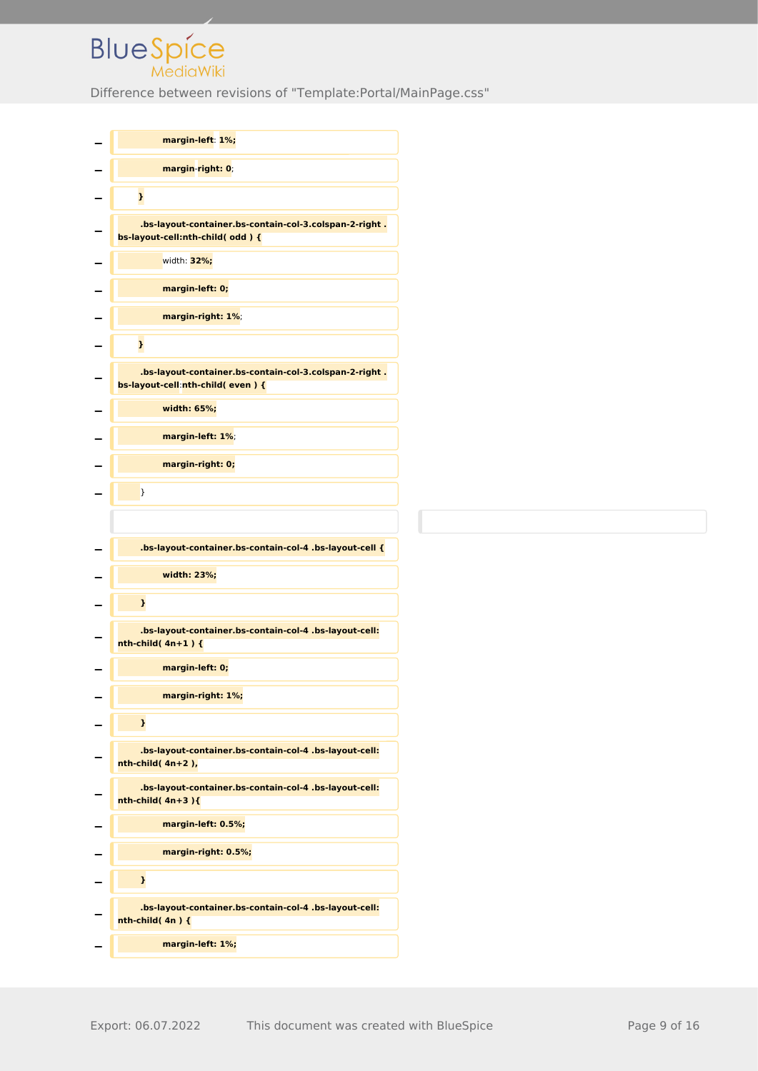| margin-left: 1%;                                                                           |
|--------------------------------------------------------------------------------------------|
| margin-right: 0;                                                                           |
| $\mathbf{I}$                                                                               |
| .bs-layout-container.bs-contain-col-3.colspan-2-right.<br>bs-layout-cell:nth-child(odd){   |
| width: 32%;                                                                                |
| margin-left: 0;                                                                            |
| margin-right: 1%;                                                                          |
| $\mathbf{I}$                                                                               |
| .bs-layout-container.bs-contain-col-3.colspan-2-right.<br>bs-layout-cell:nth-child(even) { |
| width: 65%;                                                                                |
| margin-left: 1%;                                                                           |
| margin-right: 0;                                                                           |
| }                                                                                          |
|                                                                                            |
| .bs-layout-container.bs-contain-col-4 .bs-layout-cell {                                    |
| width: 23%;                                                                                |
| }                                                                                          |
| .bs-layout-container.bs-contain-col-4 .bs-layout-cell:<br>$nth$ -child(4n+1){              |
| margin-left: 0;                                                                            |
| margin-right: 1%;                                                                          |
| $\mathbf{r}$                                                                               |
| .bs-layout-container.bs-contain-col-4 .bs-layout-cell:<br>$nth$ -child( $4n+2$ ),          |
| .bs-layout-container.bs-contain-col-4 .bs-layout-cell:<br>$nth$ -child( $4n+3$ ){          |
| margin-left: 0.5%;                                                                         |
| margin-right: 0.5%;                                                                        |
| }                                                                                          |
| .bs-layout-container.bs-contain-col-4 .bs-layout-cell:<br>$nth$ -child(4n){                |
|                                                                                            |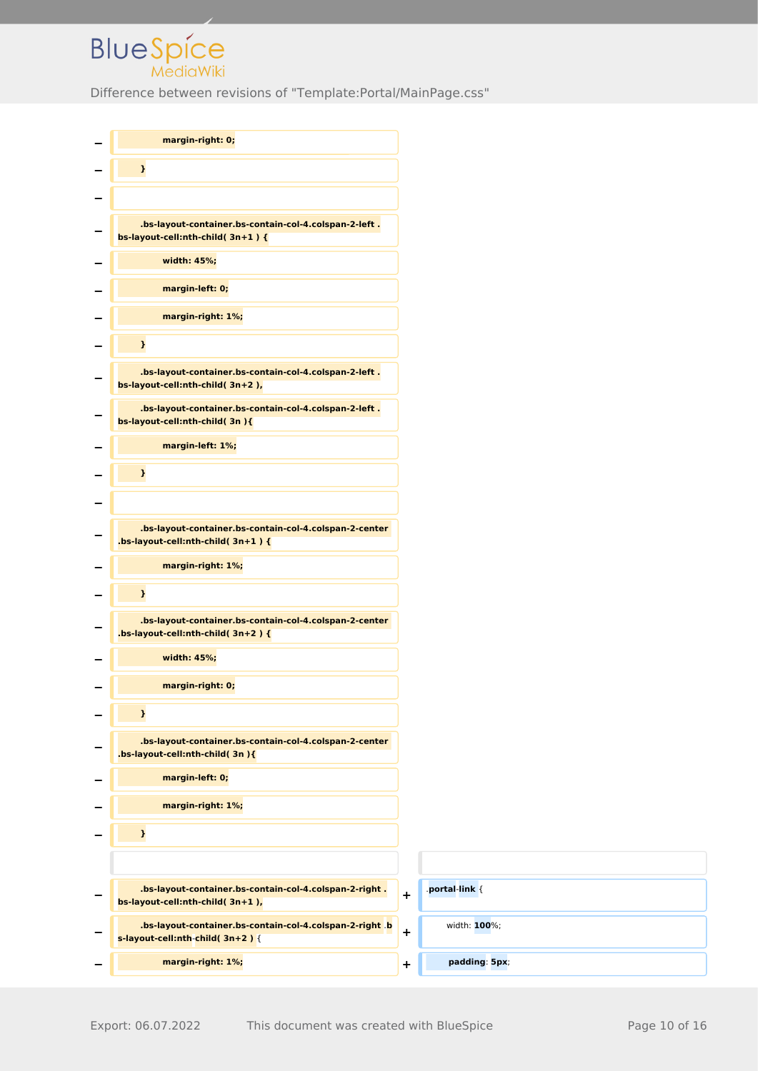| margin-right: 0;                                                                                  |           |                |
|---------------------------------------------------------------------------------------------------|-----------|----------------|
| $\pmb{\}}$                                                                                        |           |                |
|                                                                                                   |           |                |
| .bs-layout-container.bs-contain-col-4.colspan-2-left.<br>bs-layout-cell:nth-child( $3n+1$ ) {     |           |                |
| width: 45%;                                                                                       |           |                |
| margin-left: 0;                                                                                   |           |                |
| margin-right: 1%;                                                                                 |           |                |
| $\pmb{\}}$                                                                                        |           |                |
| .bs-layout-container.bs-contain-col-4.colspan-2-left.<br>bs-layout-cell:nth-child(3n+2),          |           |                |
| .bs-layout-container.bs-contain-col-4.colspan-2-left.<br>bs-layout-cell:nth-child(3n){            |           |                |
| margin-left: 1%;                                                                                  |           |                |
| $\mathbf{L}$                                                                                      |           |                |
|                                                                                                   |           |                |
| .bs-layout-container.bs-contain-col-4.colspan-2-center<br>.bs-layout-cell:nth-child( $3n+1$ ) {   |           |                |
| margin-right: 1%;                                                                                 |           |                |
| $\mathbf{L}$                                                                                      |           |                |
| .bs-layout-container.bs-contain-col-4.colspan-2-center<br>.bs-layout-cell:nth-child( $3n+2$ ) {   |           |                |
| width: 45%;                                                                                       |           |                |
| margin-right: 0;                                                                                  |           |                |
| $\mathbf{I}$                                                                                      |           |                |
| .bs-layout-container.bs-contain-col-4.colspan-2-center<br>.bs-layout-cell:nth-child(3n){          |           |                |
| margin-left: 0;                                                                                   |           |                |
| margin-right: 1%;                                                                                 |           |                |
| $\pmb{\}}$                                                                                        |           |                |
|                                                                                                   |           |                |
| .bs-layout-container.bs-contain-col-4.colspan-2-right.<br>bs-layout-cell:nth-child(3n+1),         | $\ddot{}$ | .portal-link { |
| .bs-layout-container.bs-contain-col-4.colspan-2-right b<br>$s$ -layout-cell:nth-child( $3n+2$ ) { | $\ddot{}$ | width: 100%;   |
| margin-right: 1%;                                                                                 | $\ddot{}$ | padding: 5px;  |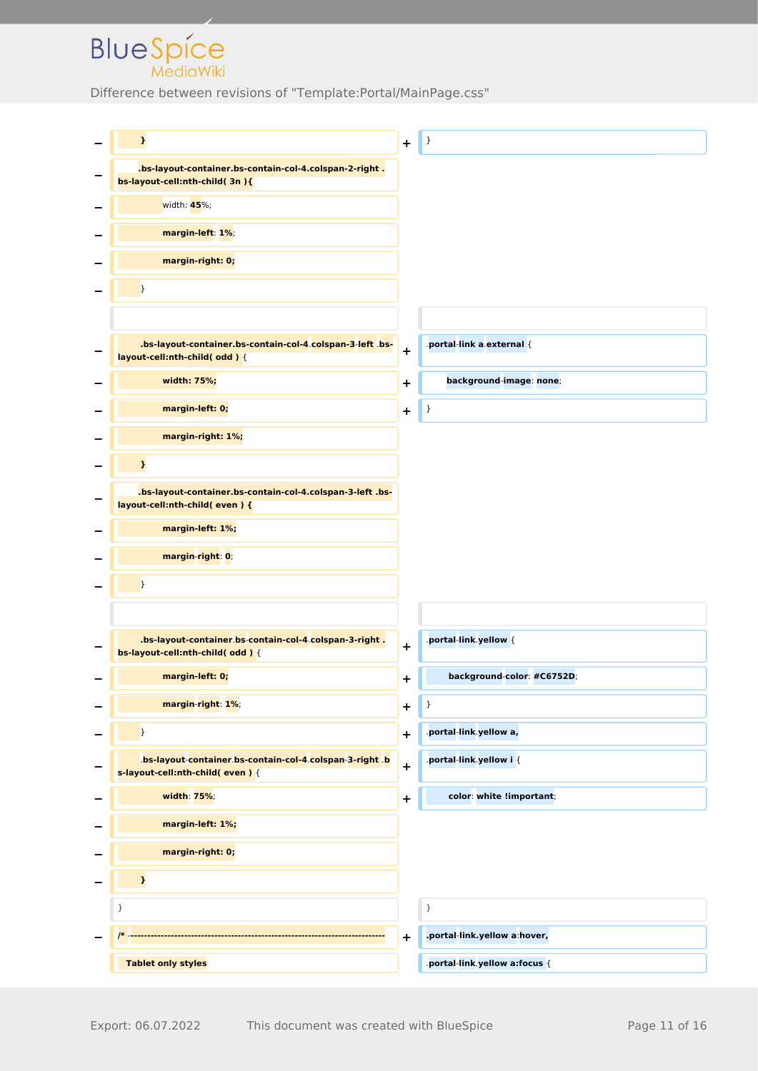| $\mathbf{I}$                                                                              | $\ddot{}$   | }                            |
|-------------------------------------------------------------------------------------------|-------------|------------------------------|
| .bs-layout-container.bs-contain-col-4.colspan-2-right.<br>bs-layout-cell:nth-child(3n){   |             |                              |
| width: 45%;                                                                               |             |                              |
| margin-left: 1%;                                                                          |             |                              |
| margin-right: 0;                                                                          |             |                              |
| $\mathcal{F}$                                                                             |             |                              |
|                                                                                           |             |                              |
| .bs-layout-container.bs-contain-col-4.colspan-3-left bs-<br>layout-cell:nth-child(odd) {  | $\ddot{}$   | portal-link a external {     |
| width: 75%;                                                                               | $\ddot{}$   | background-image: none;      |
| margin-left: 0;                                                                           | $\ddot{}$   | $\}$                         |
| margin-right: 1%;                                                                         |             |                              |
| $\mathbf{I}$                                                                              |             |                              |
| .bs-layout-container.bs-contain-col-4.colspan-3-left.bs-<br>layout-cell:nth-child(even) { |             |                              |
| margin-left: 1%;                                                                          |             |                              |
| margin-right: 0;                                                                          |             |                              |
| $\mathcal{F}$                                                                             |             |                              |
|                                                                                           |             |                              |
| .bs-layout-container bs-contain-col-4 colspan-3-right.<br>bs-layout-cell:nth-child(odd){  | $\ddagger$  | .portal-link.yellow {        |
| margin-left: 0;                                                                           | $\mathbf +$ | background-color: #C6752D;   |
| margin-right: 1%;                                                                         | $\ddot{}$   | }                            |
| $\mathbf{a}$                                                                              | $\ddot{}$   | portal-link yellow a,        |
| bs-layout-container bs-contain-col-4 colspan-3-right b<br>s-layout-cell:nth-child(even) { | $\ddot{}$   | .portal-link.yellow i {      |
| width: 75%;                                                                               | $\mathbf +$ | color: white !important;     |
| margin-left: 1%;                                                                          |             |                              |
| margin-right: 0;                                                                          |             |                              |
| $\mathbf{I}$                                                                              |             |                              |
| }                                                                                         |             | $\,$                         |
|                                                                                           | $\ddot{}$   | .portal-link.yellow a:hover, |
| <b>Tablet only styles</b>                                                                 |             | portal-link yellow a:focus { |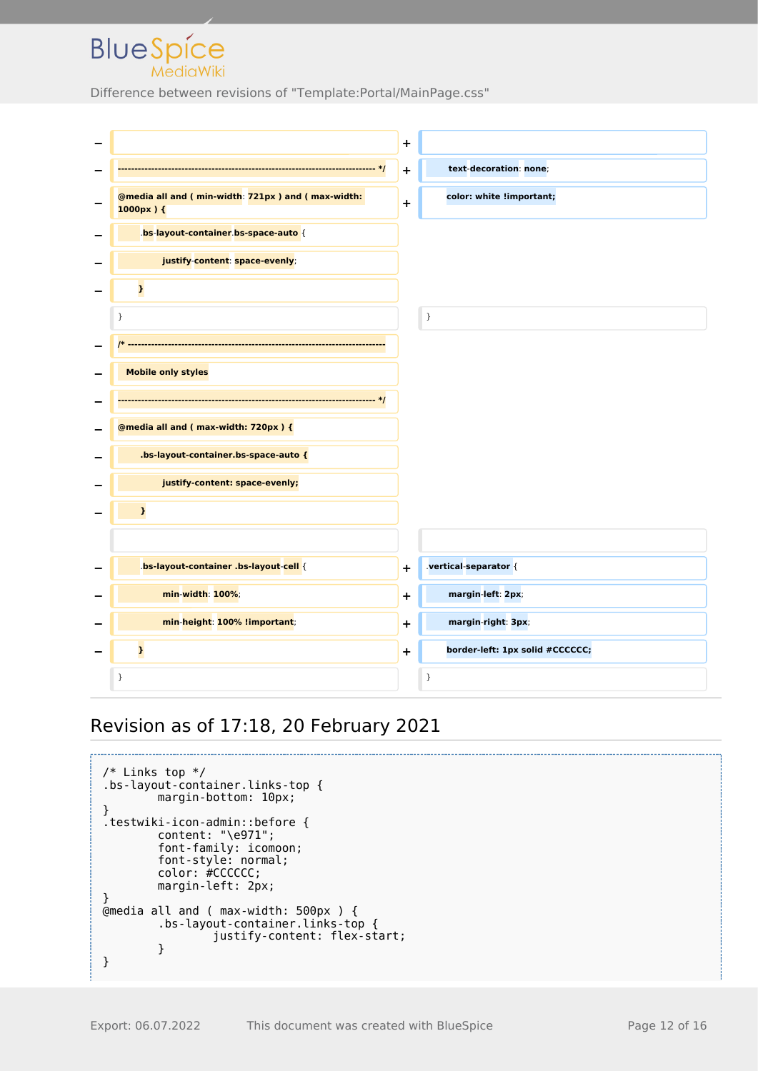Difference between revisions of "Template:Portal/MainPage.css"



#### Revision as of 17:18, 20 February 2021

```
/* Links top */
.bs-layout-container.links-top {
         margin-bottom: 10px;
}
.testwiki-icon-admin::before {
 content: "\e971";
 font-family: icomoon;
         font-style: normal;
         color: #CCCCCC;
        margin-left: 2px;
}
@media all and ( max-width: 500px ) {
         .bs-layout-container.links-top {
                 justify-content: flex-start;
         }
}
```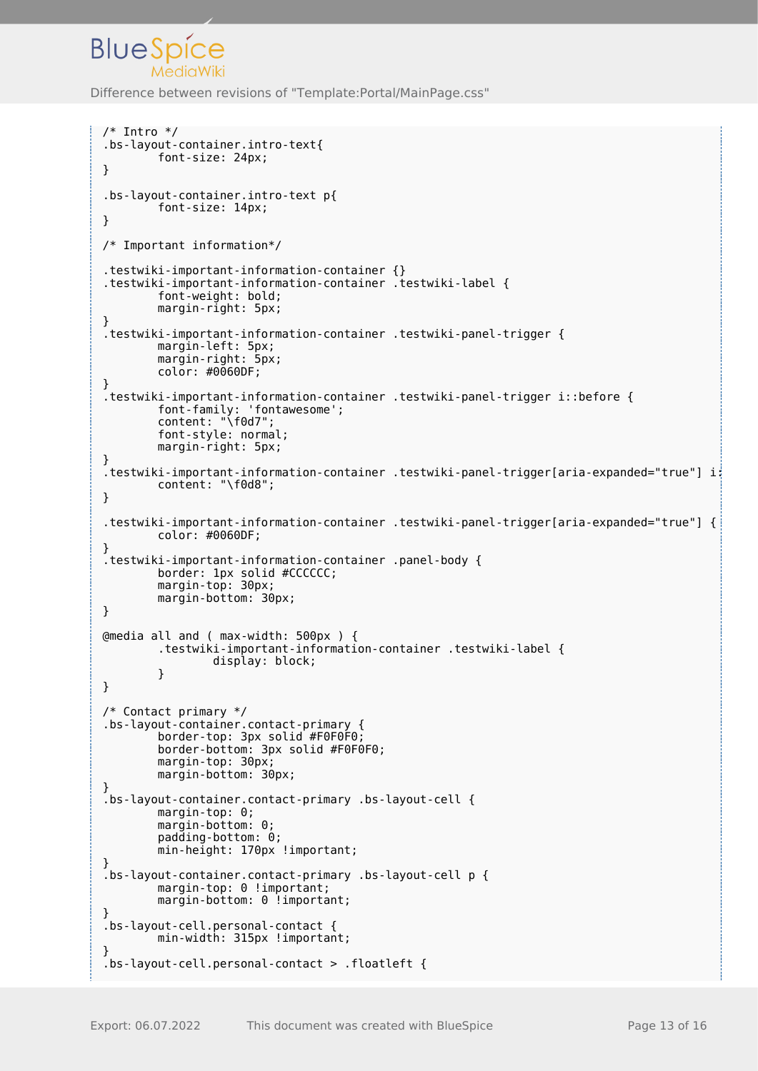```
/* Intro */
.bs-layout-container.intro-text{
         font-size: 24px;
}
.bs-layout-container.intro-text p{
         font-size: 14px;
}
/* Important information*/
.testwiki-important-information-container {}
.testwiki-important-information-container .testwiki-label {
         font-weight: bold;
         margin-right: 5px;
}
.testwiki-important-information-container .testwiki-panel-trigger {
         margin-left: 5px;
         margin-right: 5px;
         color: #0060DF;
}
.testwiki-important-information-container .testwiki-panel-trigger i::before {
         font-family: 'fontawesome';
         content: "\f0d7";
         font-style: normal;
         margin-right: 5px;
}
.testwiki-important-information-container .testwiki-panel-trigger[aria-expanded="true"] i:
         content: "\f0d8";
}
.testwiki-important-information-container .testwiki-panel-trigger[aria-expanded="true"] {
         color: #0060DF;
}
.testwiki-important-information-container .panel-body {
         border: 1px solid #CCCCCC;
         margin-top: 30px;
         margin-bottom: 30px;
}
@media all and ( max-width: 500px ) {
         .testwiki-important-information-container .testwiki-label {
                 display: block;
 }
}
/* Contact primary */
.bs-layout-container.contact-primary {
 border-top: 3px solid #F0F0F0;
 border-bottom: 3px solid #F0F0F0;
        margin-top: 30px;
         margin-bottom: 30px;
}
.bs-layout-container.contact-primary .bs-layout-cell {
         margin-top: 0;
         margin-bottom: 0;
         padding-bottom: 0;
         min-height: 170px !important;
}
.bs-layout-container.contact-primary .bs-layout-cell p {
        margin-top: 0 !important;
        margin-bottom: 0 !important;
}
.bs-layout-cell.personal-contact {
        min-width: 315px !important;
}
.bs-layout-cell.personal-contact > .floatleft {
```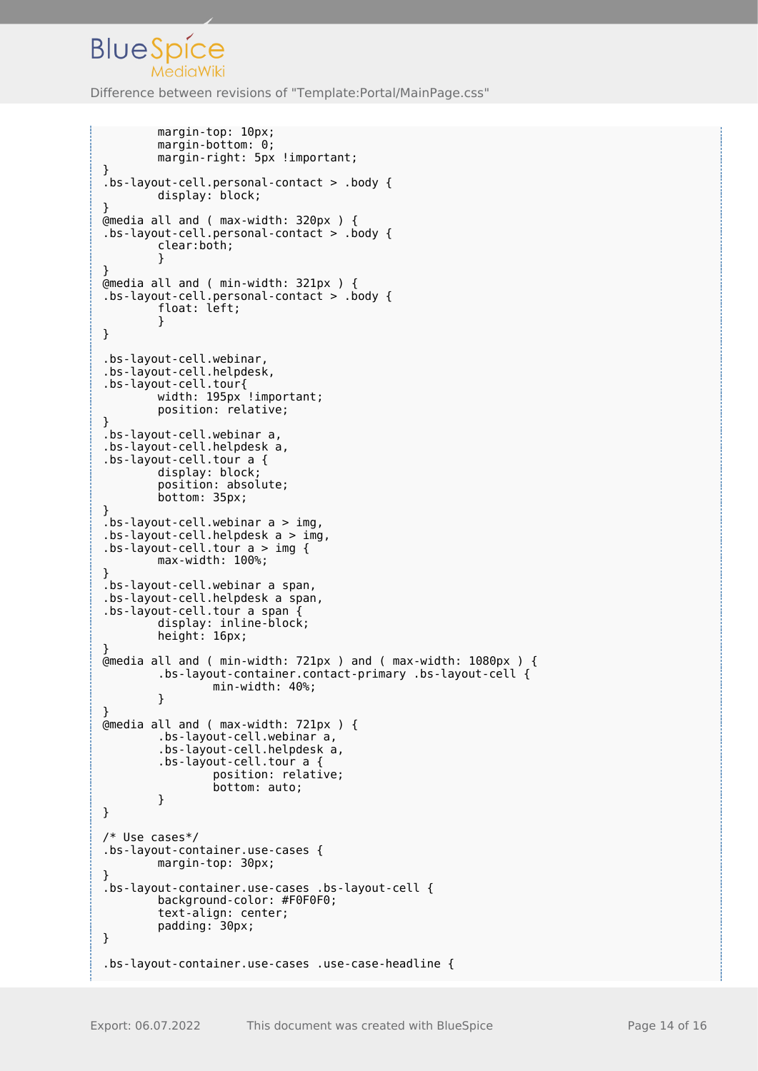```
 margin-top: 10px;
         margin-bottom: 0;
        margin-right: 5px !important;
}
.bs-layout-cell.personal-contact > .body {
         display: block;
}
@media all and ( max-width: 320px ) {
.bs-layout-cell.personal-contact > .body {
         clear:both;
 }
}
@media all and ( min-width: 321px ) {
.bs-layout-cell.personal-contact > .body {
         float: left;
         }
}
.bs-layout-cell.webinar,
.bs-layout-cell.helpdesk,
.bs-layout-cell.tour{
        width: 195px !important;
         position: relative;
}
.bs-layout-cell.webinar a,
.bs-layout-cell.helpdesk a,
.bs-layout-cell.tour a {
         display: block;
         position: absolute;
         bottom: 35px;
}
bs-layout-cell.webinar a > img,
.bs-layout-cell.helpdesk a > img,
.bs-layout-cell.tour a > img {
         max-width: 100%;
}
.bs-layout-cell.webinar a span,
.bs-layout-cell.helpdesk a span,
.bs-layout-cell.tour a span {
         display: inline-block;
         height: 16px;
}
@media all and ( min-width: 721px ) and ( max-width: 1080px ) {
         .bs-layout-container.contact-primary .bs-layout-cell {
                 min-width: 40%;
         }
}
@media all and ( max-width: 721px ) {
         .bs-layout-cell.webinar a,
         .bs-layout-cell.helpdesk a,
         .bs-layout-cell.tour a {
                 position: relative;
                 bottom: auto;
         }
}
/* Use cases*/
.bs-layout-container.use-cases {
         margin-top: 30px;
}
.bs-layout-container.use-cases .bs-layout-cell {
         background-color: #F0F0F0;
         text-align: center;
         padding: 30px;
}
.bs-layout-container.use-cases .use-case-headline {
```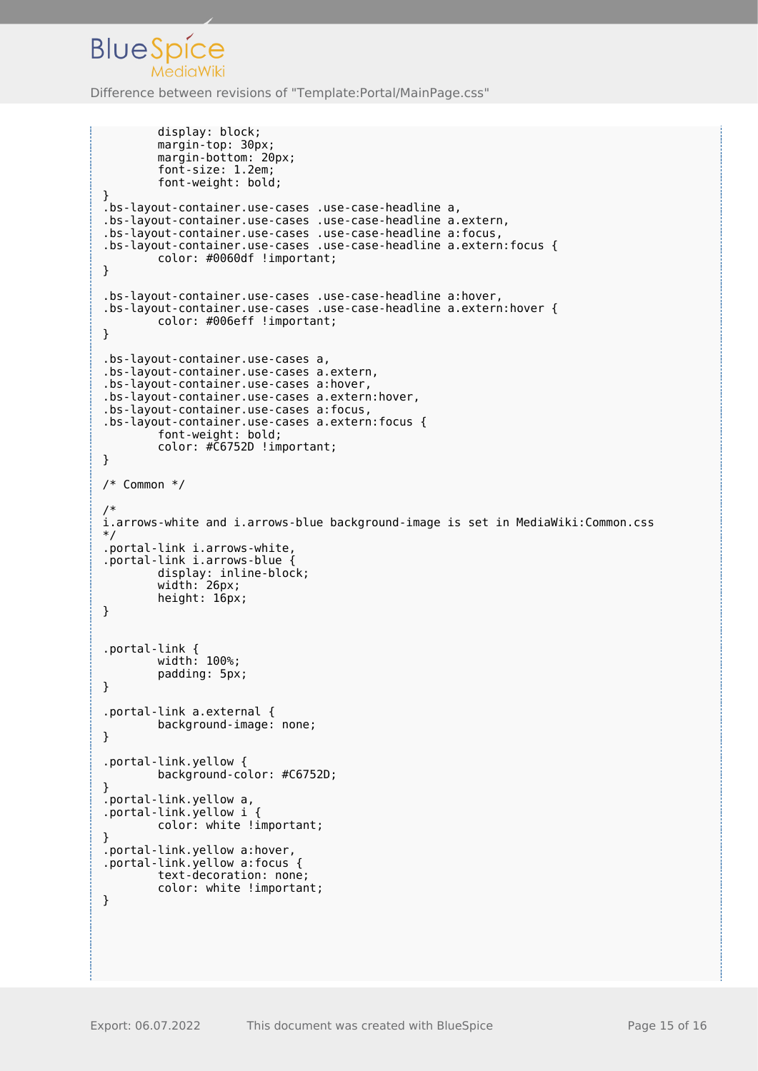```
 display: block;
         margin-top: 30px;
         margin-bottom: 20px;
         font-size: 1.2em;
         font-weight: bold;
}
.bs-layout-container.use-cases .use-case-headline a,
.bs-layout-container.use-cases .use-case-headline a.extern,
.bs-layout-container.use-cases .use-case-headline a:focus,
.bs-layout-container.use-cases .use-case-headline a.extern:focus {
         color: #0060df !important;
}
.bs-layout-container.use-cases .use-case-headline a:hover,
.bs-layout-container.use-cases .use-case-headline a.extern:hover {
         color: #006eff !important;
}
.bs-layout-container.use-cases a,
.bs-layout-container.use-cases a.extern,
.bs-layout-container.use-cases a:hover,
.bs-layout-container.use-cases a.extern:hover,
.bs-layout-container.use-cases a:focus,
.bs-layout-container.use-cases a.extern:focus {
 font-weight: bold;
         color: #C6752D !important;
}
/* Common */
/*
i.arrows-white and i.arrows-blue background-image is set in MediaWiki:Common.css
*/
.portal-link i.arrows-white,
.portal-link i.arrows-blue {
         display: inline-block;
         width: 26px;
         height: 16px;
}
.portal-link {
         width: 100%;
         padding: 5px;
}
.portal-link a.external {
         background-image: none;
}
.portal-link.yellow {
         background-color: #C6752D;
}
.portal-link.yellow a,
.portal-link.yellow i {
         color: white !important;
}
.portal-link.yellow a:hover,
.portal-link.yellow a:focus {
         text-decoration: none;
         color: white !important;
}
```